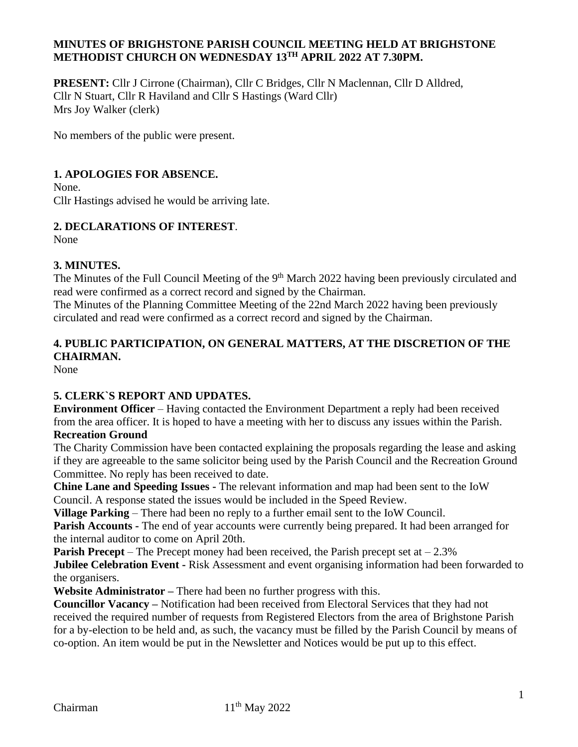## **MINUTES OF BRIGHSTONE PARISH COUNCIL MEETING HELD AT BRIGHSTONE METHODIST CHURCH ON WEDNESDAY 13TH APRIL 2022 AT 7.30PM.**

**PRESENT:** Cllr J Cirrone (Chairman), Cllr C Bridges, Cllr N Maclennan, Cllr D Alldred, Cllr N Stuart, Cllr R Haviland and Cllr S Hastings (Ward Cllr) Mrs Joy Walker (clerk)

No members of the public were present.

## **1. APOLOGIES FOR ABSENCE.**

None. Cllr Hastings advised he would be arriving late.

## **2. DECLARATIONS OF INTEREST**.

None

#### **3. MINUTES.**

The Minutes of the Full Council Meeting of the 9<sup>th</sup> March 2022 having been previously circulated and read were confirmed as a correct record and signed by the Chairman.

The Minutes of the Planning Committee Meeting of the 22nd March 2022 having been previously circulated and read were confirmed as a correct record and signed by the Chairman.

# **4. PUBLIC PARTICIPATION, ON GENERAL MATTERS, AT THE DISCRETION OF THE CHAIRMAN.**

None

## **5. CLERK`S REPORT AND UPDATES.**

**Environment Officer** – Having contacted the Environment Department a reply had been received from the area officer. It is hoped to have a meeting with her to discuss any issues within the Parish. **Recreation Ground** 

The Charity Commission have been contacted explaining the proposals regarding the lease and asking if they are agreeable to the same solicitor being used by the Parish Council and the Recreation Ground Committee. No reply has been received to date.

**Chine Lane and Speeding Issues -** The relevant information and map had been sent to the IoW Council. A response stated the issues would be included in the Speed Review.

**Village Parking** – There had been no reply to a further email sent to the IoW Council.

**Parish Accounts** - The end of year accounts were currently being prepared. It had been arranged for the internal auditor to come on April 20th.

**Parish Precept** – The Precept money had been received, the Parish precept set at – 2.3%

**Jubilee Celebration Event -** Risk Assessment and event organising information had been forwarded to the organisers.

**Website Administrator –** There had been no further progress with this.

**Councillor Vacancy –** Notification had been received from Electoral Services that they had not received the required number of requests from Registered Electors from the area of Brighstone Parish for a by-election to be held and, as such, the vacancy must be filled by the Parish Council by means of co-option. An item would be put in the Newsletter and Notices would be put up to this effect.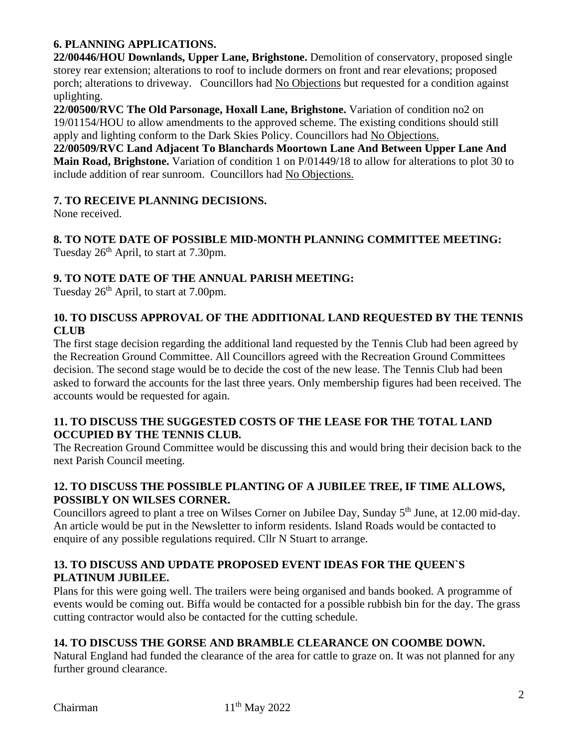# **6. PLANNING APPLICATIONS.**

**22/00446/HOU Downlands, Upper Lane, Brighstone.** Demolition of conservatory, proposed single storey rear extension; alterations to roof to include dormers on front and rear elevations; proposed porch; alterations to driveway. Councillors had No Objections but requested for a condition against uplighting.

**22/00500/RVC The Old Parsonage, Hoxall Lane, Brighstone.** Variation of condition no2 on 19/01154/HOU to allow amendments to the approved scheme. The existing conditions should still apply and lighting conform to the Dark Skies Policy. Councillors had No Objections.

**22/00509/RVC Land Adjacent To Blanchards Moortown Lane And Between Upper Lane And Main Road, Brighstone.** Variation of condition 1 on P/01449/18 to allow for alterations to plot 30 to include addition of rear sunroom. Councillors had No Objections.

#### **7. TO RECEIVE PLANNING DECISIONS.**

None received.

**8. TO NOTE DATE OF POSSIBLE MID-MONTH PLANNING COMMITTEE MEETING:**  Tuesday  $26<sup>th</sup>$  April, to start at 7.30pm.

### **9. TO NOTE DATE OF THE ANNUAL PARISH MEETING:**

Tuesday  $26<sup>th</sup>$  April, to start at 7.00pm.

## **10. TO DISCUSS APPROVAL OF THE ADDITIONAL LAND REQUESTED BY THE TENNIS CLUB**

The first stage decision regarding the additional land requested by the Tennis Club had been agreed by the Recreation Ground Committee. All Councillors agreed with the Recreation Ground Committees decision. The second stage would be to decide the cost of the new lease. The Tennis Club had been asked to forward the accounts for the last three years. Only membership figures had been received. The accounts would be requested for again.

#### **11. TO DISCUSS THE SUGGESTED COSTS OF THE LEASE FOR THE TOTAL LAND OCCUPIED BY THE TENNIS CLUB.**

The Recreation Ground Committee would be discussing this and would bring their decision back to the next Parish Council meeting.

# **12. TO DISCUSS THE POSSIBLE PLANTING OF A JUBILEE TREE, IF TIME ALLOWS, POSSIBLY ON WILSES CORNER.**

Councillors agreed to plant a tree on Wilses Corner on Jubilee Day, Sunday 5<sup>th</sup> June, at 12.00 mid-day. An article would be put in the Newsletter to inform residents. Island Roads would be contacted to enquire of any possible regulations required. Cllr N Stuart to arrange.

## **13. TO DISCUSS AND UPDATE PROPOSED EVENT IDEAS FOR THE QUEEN`S PLATINUM JUBILEE.**

Plans for this were going well. The trailers were being organised and bands booked. A programme of events would be coming out. Biffa would be contacted for a possible rubbish bin for the day. The grass cutting contractor would also be contacted for the cutting schedule.

## **14. TO DISCUSS THE GORSE AND BRAMBLE CLEARANCE ON COOMBE DOWN.**

Natural England had funded the clearance of the area for cattle to graze on. It was not planned for any further ground clearance.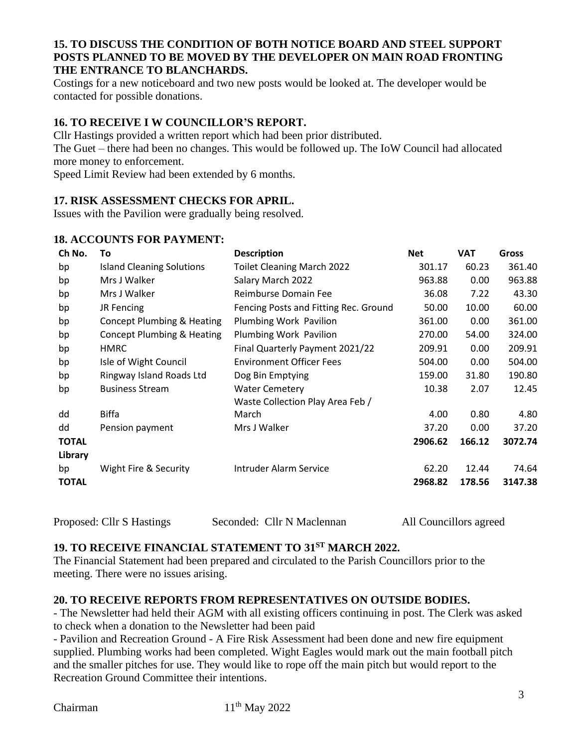#### **15. TO DISCUSS THE CONDITION OF BOTH NOTICE BOARD AND STEEL SUPPORT POSTS PLANNED TO BE MOVED BY THE DEVELOPER ON MAIN ROAD FRONTING THE ENTRANCE TO BLANCHARDS.**

Costings for a new noticeboard and two new posts would be looked at. The developer would be contacted for possible donations.

## **16. TO RECEIVE I W COUNCILLOR'S REPORT.**

Cllr Hastings provided a written report which had been prior distributed. The Guet – there had been no changes. This would be followed up. The IoW Council had allocated more money to enforcement.

Speed Limit Review had been extended by 6 months.

#### **17. RISK ASSESSMENT CHECKS FOR APRIL.**

Issues with the Pavilion were gradually being resolved.

#### **18. ACCOUNTS FOR PAYMENT:**

| Ch No.       | To                                    | <b>Description</b>                    | <b>Net</b> | <b>VAT</b>        | <b>Gross</b> |
|--------------|---------------------------------------|---------------------------------------|------------|-------------------|--------------|
| bp           | <b>Island Cleaning Solutions</b>      | <b>Toilet Cleaning March 2022</b>     | 301.17     | 60.23             | 361.40       |
| bp           | Mrs J Walker                          | Salary March 2022                     | 963.88     | 0.00              | 963.88       |
| bp           | Mrs J Walker                          | Reimburse Domain Fee                  | 36.08      | 7.22              | 43.30        |
| bp           | JR Fencing                            | Fencing Posts and Fitting Rec. Ground | 50.00      | 10.00             | 60.00        |
| bp           | <b>Concept Plumbing &amp; Heating</b> | Plumbing Work Pavilion                | 361.00     | 0.00              | 361.00       |
| bp           | Concept Plumbing & Heating            | Plumbing Work Pavilion                | 270.00     | 54.00             | 324.00       |
| bp           | <b>HMRC</b>                           | Final Quarterly Payment 2021/22       | 209.91     | 0.00 <sub>1</sub> | 209.91       |
| bp           | Isle of Wight Council                 | <b>Environment Officer Fees</b>       | 504.00     | 0.00              | 504.00       |
| bp           | Ringway Island Roads Ltd              | Dog Bin Emptying                      | 159.00     | 31.80             | 190.80       |
| bp           | <b>Business Stream</b>                | <b>Water Cemetery</b>                 | 10.38      | 2.07              | 12.45        |
|              |                                       | Waste Collection Play Area Feb /      |            |                   |              |
| dd           | Biffa                                 | March                                 | 4.00       | 0.80              | 4.80         |
| dd           | Pension payment                       | Mrs J Walker                          | 37.20      | 0.00              | 37.20        |
| <b>TOTAL</b> |                                       |                                       | 2906.62    | 166.12            | 3072.74      |
| Library      |                                       |                                       |            |                   |              |
| bp           | Wight Fire & Security                 | Intruder Alarm Service                | 62.20      | 12.44             | 74.64        |
| <b>TOTAL</b> |                                       |                                       | 2968.82    | 178.56            | 3147.38      |
|              |                                       |                                       |            |                   |              |

Proposed: Cllr S Hastings Seconded: Cllr N Maclennan All Councillors agreed

# **19. TO RECEIVE FINANCIAL STATEMENT TO 31ST MARCH 2022.**

The Financial Statement had been prepared and circulated to the Parish Councillors prior to the meeting. There were no issues arising.

## **20. TO RECEIVE REPORTS FROM REPRESENTATIVES ON OUTSIDE BODIES.**

- The Newsletter had held their AGM with all existing officers continuing in post. The Clerk was asked to check when a donation to the Newsletter had been paid

- Pavilion and Recreation Ground - A Fire Risk Assessment had been done and new fire equipment supplied. Plumbing works had been completed. Wight Eagles would mark out the main football pitch and the smaller pitches for use. They would like to rope off the main pitch but would report to the Recreation Ground Committee their intentions.